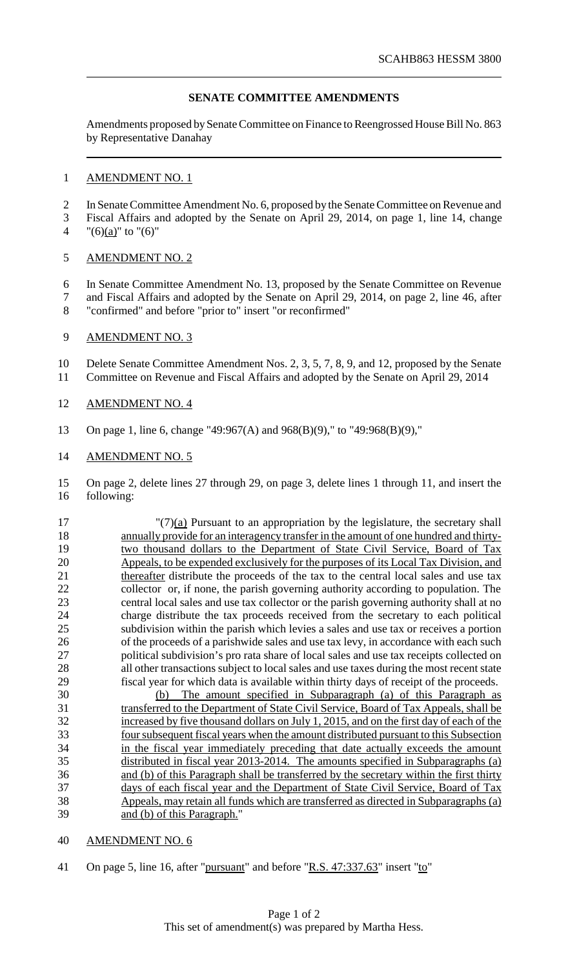## **SENATE COMMITTEE AMENDMENTS**

Amendments proposed by Senate Committee on Finance to Reengrossed House Bill No. 863 by Representative Danahay

### AMENDMENT NO. 1

2 In Senate Committee Amendment No. 6, proposed by the Senate Committee on Revenue and

- Fiscal Affairs and adopted by the Senate on April 29, 2014, on page 1, line 14, change 4 "(6)(a)" to "(6)"
- 
- AMENDMENT NO. 2
- In Senate Committee Amendment No. 13, proposed by the Senate Committee on Revenue and Fiscal Affairs and adopted by the Senate on April 29, 2014, on page 2, line 46, after
- "confirmed" and before "prior to" insert "or reconfirmed"

### 9 AMENDMENT NO. 3

Delete Senate Committee Amendment Nos. 2, 3, 5, 7, 8, 9, and 12, proposed by the Senate

- Committee on Revenue and Fiscal Affairs and adopted by the Senate on April 29, 2014
- AMENDMENT NO. 4
- On page 1, line 6, change "49:967(A) and 968(B)(9)," to "49:968(B)(9),"

### AMENDMENT NO. 5

 On page 2, delete lines 27 through 29, on page 3, delete lines 1 through 11, and insert the following:

- "(7)(a) Pursuant to an appropriation by the legislature, the secretary shall annually provide for an interagency transfer in the amount of one hundred and thirty-19 two thousand dollars to the Department of State Civil Service, Board of Tax Appeals, to be expended exclusively for the purposes of its Local Tax Division, and 21 thereafter distribute the proceeds of the tax to the central local sales and use tax collector or, if none, the parish governing authority according to population. The central local sales and use tax collector or the parish governing authority shall at no charge distribute the tax proceeds received from the secretary to each political subdivision within the parish which levies a sales and use tax or receives a portion of the proceeds of a parishwide sales and use tax levy, in accordance with each such political subdivision's pro rata share of local sales and use tax receipts collected on all other transactions subject to local sales and use taxes during the most recent state fiscal year for which data is available within thirty days of receipt of the proceeds.
- (b) The amount specified in Subparagraph (a) of this Paragraph as 31 transferred to the Department of State Civil Service, Board of Tax Appeals, shall be increased by five thousand dollars on July 1, 2015, and on the first day of each of the foursubsequent fiscal years when the amount distributed pursuant to this Subsection in the fiscal year immediately preceding that date actually exceeds the amount distributed in fiscal year 2013-2014. The amounts specified in Subparagraphs (a) 36 and (b) of this Paragraph shall be transferred by the secretary within the first thirty days of each fiscal year and the Department of State Civil Service, Board of Tax Appeals, may retain all funds which are transferred as directed in Subparagraphs (a) and (b) of this Paragraph."

#### AMENDMENT NO. 6

On page 5, line 16, after "pursuant" and before "R.S. 47:337.63" insert "to"